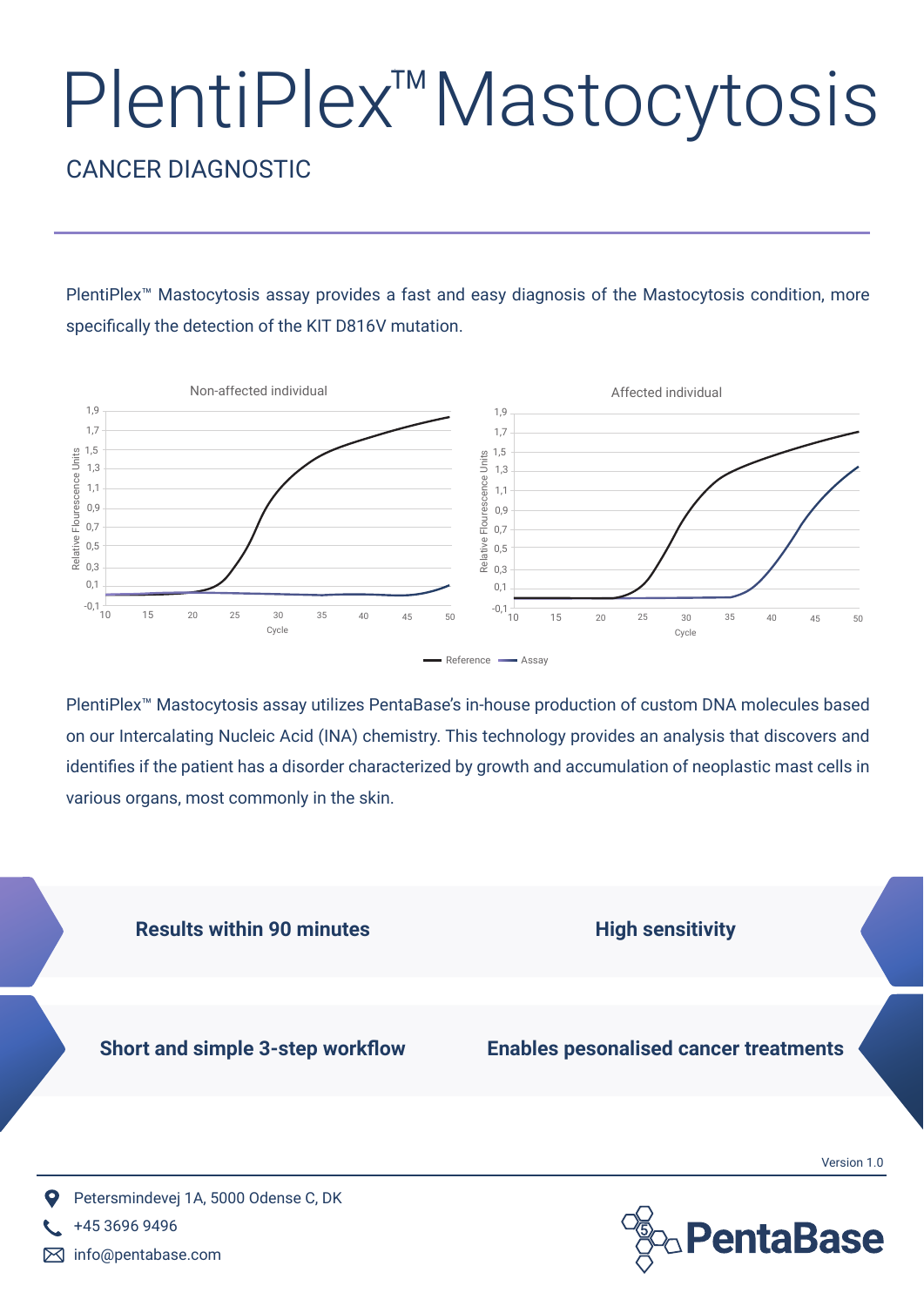## PlentiPlex™Mastocytosis

## CANCER DIAGNOSTIC

PlentiPlex<sup>™</sup> Mastocytosis assay provides a fast and easy diagnosis of the Mastocytosis condition, more specifically the detection of the KIT D816V mutation.



PlentiPlex™ Mastocytosis assay utilizes PentaBase's in-house production of custom DNA molecules based on our Intercalating Nucleic Acid (INA) chemistry. This technology provides an analysis that discovers and identifies if the patient has a disorder characterized by growth and accumulation of neoplastic mast cells in various organs, most commonly in the skin.



info@pentabase.com 冈